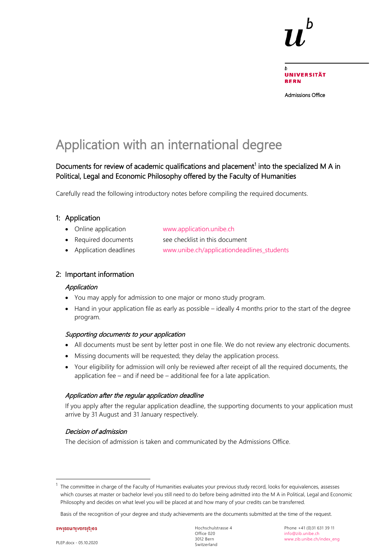Admissions Office

# Application with an international degree

### Documents for review of academic qualifications and placement<sup>[1](#page-0-0)</sup> into the specialized M A in Political, Legal and Economic Philosophy offered by the Faculty of Humanities

Carefully read the following introductory notes before compiling the required documents.

### 1: Application

- Online application [www.application.unibe.ch](http://www.application.unibe.ch/)
- Required documents see checklist in this document
- Application deadlines www.unibe.ch/applicationdeadlines students

#### 2: Important information

#### Application

- You may apply for admission to one major or mono study program.
- Hand in your application file as early as possible ideally 4 months prior to the start of the degree program.

#### Supporting documents to your application

- All documents must be sent by letter post in one file. We do not review any electronic documents.
- Missing documents will be requested; they delay the application process.
- Your eligibility for admission will only be reviewed after receipt of all the required documents, the application fee – and if need be – additional fee for a late application.

#### Application after the regular application deadline

If you apply after the regular application deadline, the supporting documents to your application must arrive by 31 August and 31 January respectively.

#### Decision of admission

The decision of admission is taken and communicated by the Admissions Office.

swissuniversities

<span id="page-0-0"></span>The committee in charge of the Faculty of Humanities evaluates your previous study record, looks for equivalences, assesses which courses at master or bachelor level you still need to do before being admitted into the M A in Political, Legal and Economic Philosophy and decides on what level you will be placed at and how many of your credits can be transferred.

Basis of the recognition of your degree and study achievements are the documents submitted at the time of the request.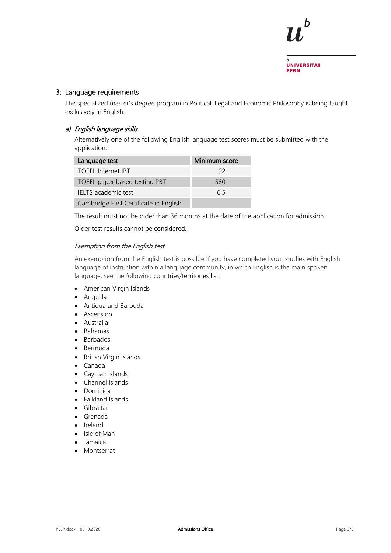

#### 3: Language requirements

The specialized master's degree program in Political, Legal and Economic Philosophy is being taught exclusively in English.

#### a) English language skills

Alternatively one of the following English language test scores must be submitted with the application:

| Language test                          | Minimum score |
|----------------------------------------|---------------|
| <b>TOEFL Internet IBT</b>              | 92            |
| TOEFL paper based testing PBT          | 580           |
| IELTS academic test                    | 65            |
| Cambridge First Certificate in English |               |

The result must not be older than 36 months at the date of the application for admission.

Older test results cannot be considered.

#### Exemption from the English test

An exemption from the English test is possible if you have completed your studies with English language of instruction within a language community, in which English is the main spoken language; see the following countries/territories list:

- American Virgin Islands
- Anguilla
- Antigua and Barbuda
- Ascension
- Australia
- Bahamas
- Barbados
- Bermuda
- British Virgin Islands
- Canada
- Cayman Islands
- Channel Islands
- Dominica
- Falkland Islands
- Gibraltar
- Grenada
- Ireland
- Isle of Man
- Jamaica
- Montserrat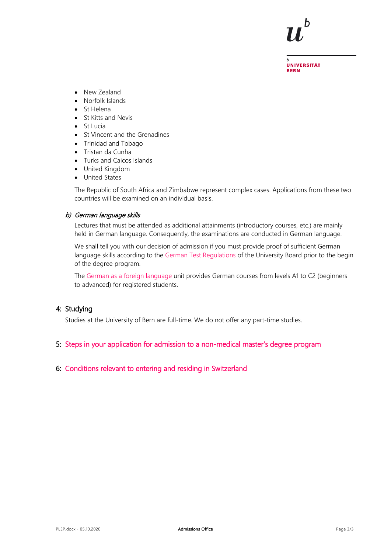

UNIVERSITÄT **BERN** 

- New Zealand
- Norfolk Islands
- St Helena
- St Kitts and Nevis
- St Lucia
- St Vincent and the Grenadines
- Trinidad and Tobago
- Tristan da Cunha
- Turks and Caicos Islands
- United Kingdom
- United States

The Republic of South Africa and Zimbabwe represent complex cases. Applications from these two countries will be examined on an individual basis.

#### b) German language skills

Lectures that must be attended as additional attainments (introductory courses, etc.) are mainly held in German language. Consequently, the examinations are conducted in German language.

We shall tell you with our decision of admission if you must provide proof of sufficient German language skills according to the [German Test Regulations](https://edit.cms.unibe.ch/unibe/portal/content/e1006/e15237/e224470/ul_rl_deutschtest_100427_eng.pdf) of the University Board prior to the begin of the degree program.

The [German as a foreign language](https://edit.cms.unibe.ch/unibe/portal/content/studies/studienangebote/language_courses/daf/index_eng.html) unit provides German courses from levels A1 to C2 (beginners to advanced) for registered students.

#### 4: Studying

Studies at the University of Bern are full-time. We do not offer any part-time studies.

#### 5: [Steps in your application for admission to a non-medical master's degree program](https://edit.cms.unibe.ch/unibe/portal/content/e1006/e1029/e1041/e1046/e110496/e244228/Master_eng.pdf)

#### 6: [Conditions relevant to entering and residing in Switzerland](https://www.unibe.ch/studies/mobility/incoming/general_information/einreise_und_aufenthaltsbestimmungen/index_eng.html)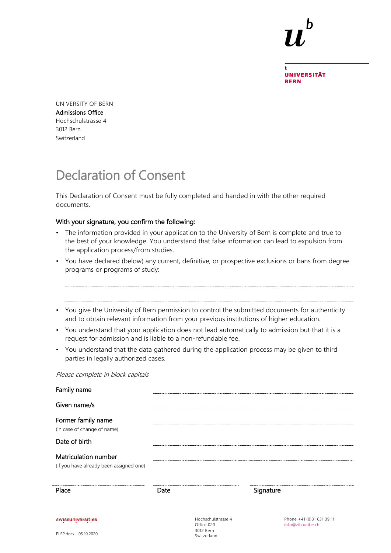**UNIVERSITÄT BERN** 

UNIVERSITY OF BERN Admissions Office Hochschulstrasse 4 3012 Bern Switzerland

# Declaration of Consent

This Declaration of Consent must be fully completed and handed in with the other required documents.

#### With your signature, you confirm the following:

- The information provided in your application to the University of Bern is complete and true to the best of your knowledge. You understand that false information can lead to expulsion from the application process/from studies.
- You have declared (below) any current, definitive, or prospective exclusions or bans from degree programs or programs of study:
- You give the University of Bern permission to control the submitted documents for authenticity and to obtain relevant information from your previous institutions of higher education.
- You understand that your application does not lead automatically to admission but that it is a request for admission and is liable to a non-refundable fee.
- You understand that the data gathered during the application process may be given to third parties in legally authorized cases.

Please complete in block capitals

| Family name                                                     |      |                                               |           |                                                |
|-----------------------------------------------------------------|------|-----------------------------------------------|-----------|------------------------------------------------|
| Given name/s                                                    |      |                                               |           |                                                |
| Former family name<br>(in case of change of name)               |      |                                               |           |                                                |
| Date of birth                                                   |      |                                               |           |                                                |
| Matriculation number<br>(if you have already been assigned one) |      |                                               |           |                                                |
| Place                                                           | Date |                                               | Signature |                                                |
| swissuniversities                                               |      | Hochschulstrasse 4<br>Office 020<br>3012 Bern |           | Phone +41 (0)31 631 39 11<br>info@zib.unibe.ch |

Switzerland

PLEP.docx - 05.10.2020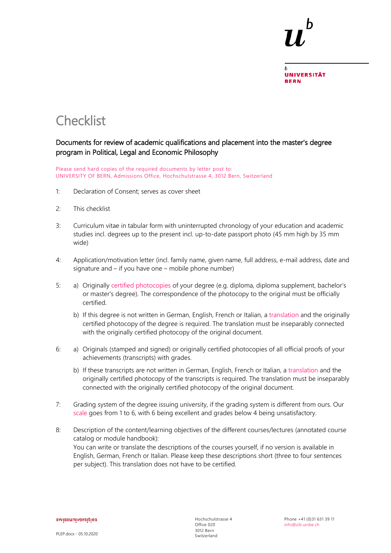**UNIVERSITÄT BERN** 

## **Checklist**

### Documents for review of academic qualifications and placement into the master's degree program in Political, Legal and Economic Philosophy

Please send hard copies of the required documents by letter post to: UNIVERSITY OF BERN, Admissions Office, Hochschulstrasse 4, 3012 Bern, Switzerland

- 1: Declaration of Consent; serves as cover sheet
- 2: This checklist
- 3: Curriculum vitae in tabular form with uninterrupted chronology of your education and academic studies incl. degrees up to the present incl. up-to-date passport photo (45 mm high by 35 mm wide)
- 4: Application/motivation letter (incl. family name, given name, full address, e-mail address, date and signature and – if you have one – mobile phone number)
- 5: a) Originally [certified photocopies](http://www.unibe.ch/unibe/portal/content/e1006/e15237/e335901/Certifications-translation_ger.pdf) of your degree (e.g. diploma, diploma supplement, bachelor's or master's degree). The correspondence of the photocopy to the original must be officially certified.
	- b) If this degree is not written in German, English, French or Italian, a [translation](http://www.unibe.ch/unibe/portal/content/e1006/e15237/e335901/Certifications-translation_ger.pdf) and the originally certified photocopy of the degree is required. The translation must be inseparably connected with the originally certified photocopy of the original document.
- 6: a) Originals (stamped and signed) or originally certified photocopies of all official proofs of your achievements (transcripts) with grades.
	- b) If these transcripts are not written in German, English, French or Italian, a [translation](http://www.unibe.ch/unibe/portal/content/e1006/e15237/e335901/Certifications-translation_ger.pdf) and the originally certified photocopy of the transcripts is required. The translation must be inseparably connected with the originally certified photocopy of the original document.
- 7: Grading system of the degree issuing university, if the grading system is different from ours. Our [scale](http://www.unibe.ch/studies/programs/organization_and_structure/ects_credits_and_grading_system/index_eng.html) goes from 1 to 6, with 6 being excellent and grades below 4 being unsatisfactory.
- 8: Description of the content/learning objectives of the different courses/lectures (annotated course catalog or module handbook): You can write or translate the descriptions of the courses yourself, if no version is available in English, German, French or Italian. Please keep these descriptions short (three to four sentences per subject). This translation does not have to be certified.